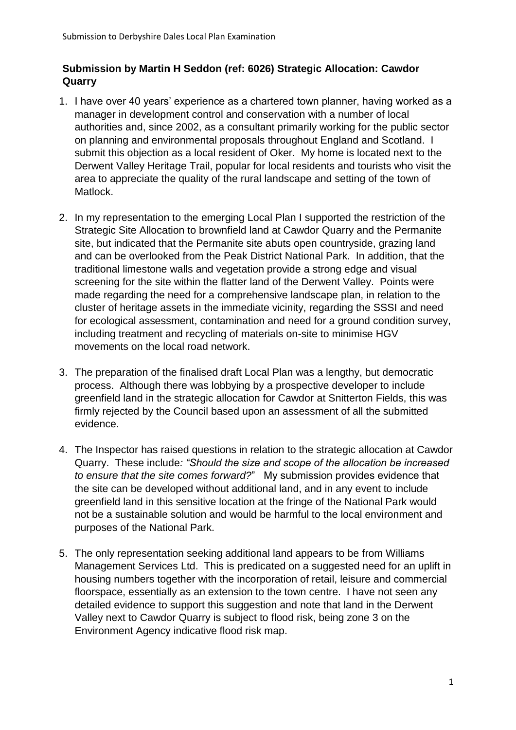## **Submission by Martin H Seddon (ref: 6026) Strategic Allocation: Cawdor Quarry**

- 1. I have over 40 years' experience as a chartered town planner, having worked as a manager in development control and conservation with a number of local authorities and, since 2002, as a consultant primarily working for the public sector on planning and environmental proposals throughout England and Scotland. I submit this objection as a local resident of Oker. My home is located next to the Derwent Valley Heritage Trail, popular for local residents and tourists who visit the area to appreciate the quality of the rural landscape and setting of the town of Matlock.
- 2. In my representation to the emerging Local Plan I supported the restriction of the Strategic Site Allocation to brownfield land at Cawdor Quarry and the Permanite site, but indicated that the Permanite site abuts open countryside, grazing land and can be overlooked from the Peak District National Park. In addition, that the traditional limestone walls and vegetation provide a strong edge and visual screening for the site within the flatter land of the Derwent Valley. Points were made regarding the need for a comprehensive landscape plan, in relation to the cluster of heritage assets in the immediate vicinity, regarding the SSSI and need for ecological assessment, contamination and need for a ground condition survey, including treatment and recycling of materials on-site to minimise HGV movements on the local road network.
- 3. The preparation of the finalised draft Local Plan was a lengthy, but democratic process. Although there was lobbying by a prospective developer to include greenfield land in the strategic allocation for Cawdor at Snitterton Fields, this was firmly rejected by the Council based upon an assessment of all the submitted evidence.
- 4. The Inspector has raised questions in relation to the strategic allocation at Cawdor Quarry. These include*: "Should the size and scope of the allocation be increased to ensure that the site comes forward?*" My submission provides evidence that the site can be developed without additional land, and in any event to include greenfield land in this sensitive location at the fringe of the National Park would not be a sustainable solution and would be harmful to the local environment and purposes of the National Park.
- 5. The only representation seeking additional land appears to be from Williams Management Services Ltd. This is predicated on a suggested need for an uplift in housing numbers together with the incorporation of retail, leisure and commercial floorspace, essentially as an extension to the town centre. I have not seen any detailed evidence to support this suggestion and note that land in the Derwent Valley next to Cawdor Quarry is subject to flood risk, being zone 3 on the Environment Agency indicative flood risk map.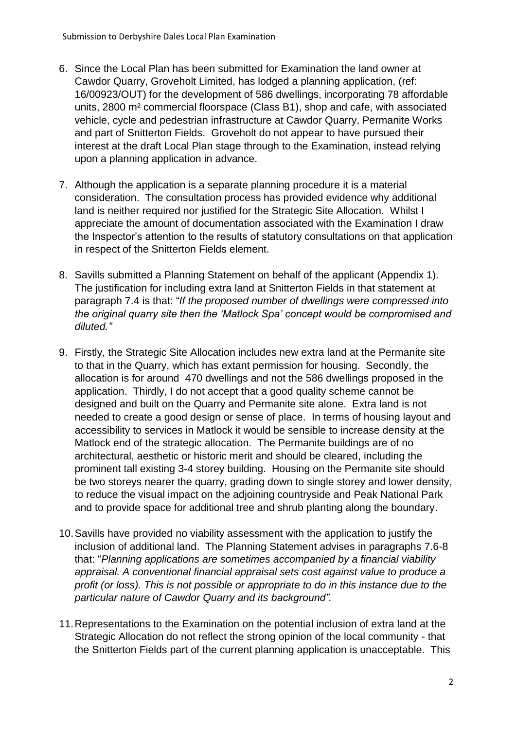- 6. Since the Local Plan has been submitted for Examination the land owner at Cawdor Quarry, Groveholt Limited, has lodged a planning application, (ref: 16/00923/OUT) for the development of 586 dwellings, incorporating 78 affordable units, 2800 m² commercial floorspace (Class B1), shop and cafe, with associated vehicle, cycle and pedestrian infrastructure at Cawdor Quarry, Permanite Works and part of Snitterton Fields. Groveholt do not appear to have pursued their interest at the draft Local Plan stage through to the Examination, instead relying upon a planning application in advance.
- 7. Although the application is a separate planning procedure it is a material consideration. The consultation process has provided evidence why additional land is neither required nor justified for the Strategic Site Allocation. Whilst I appreciate the amount of documentation associated with the Examination I draw the Inspector's attention to the results of statutory consultations on that application in respect of the Snitterton Fields element.
- 8. Savills submitted a Planning Statement on behalf of the applicant (Appendix 1). The justification for including extra land at Snitterton Fields in that statement at paragraph 7.4 is that: "*If the proposed number of dwellings were compressed into the original quarry site then the 'Matlock Spa' concept would be compromised and diluted."*
- 9. Firstly, the Strategic Site Allocation includes new extra land at the Permanite site to that in the Quarry, which has extant permission for housing. Secondly, the allocation is for around 470 dwellings and not the 586 dwellings proposed in the application. Thirdly, I do not accept that a good quality scheme cannot be designed and built on the Quarry and Permanite site alone. Extra land is not needed to create a good design or sense of place. In terms of housing layout and accessibility to services in Matlock it would be sensible to increase density at the Matlock end of the strategic allocation. The Permanite buildings are of no architectural, aesthetic or historic merit and should be cleared, including the prominent tall existing 3-4 storey building. Housing on the Permanite site should be two storeys nearer the quarry, grading down to single storey and lower density, to reduce the visual impact on the adjoining countryside and Peak National Park and to provide space for additional tree and shrub planting along the boundary.
- 10.Savills have provided no viability assessment with the application to justify the inclusion of additional land. The Planning Statement advises in paragraphs 7.6-8 that: "*Planning applications are sometimes accompanied by a financial viability appraisal. A conventional financial appraisal sets cost against value to produce a profit (or loss). This is not possible or appropriate to do in this instance due to the particular nature of Cawdor Quarry and its background".*
- 11.Representations to the Examination on the potential inclusion of extra land at the Strategic Allocation do not reflect the strong opinion of the local community - that the Snitterton Fields part of the current planning application is unacceptable. This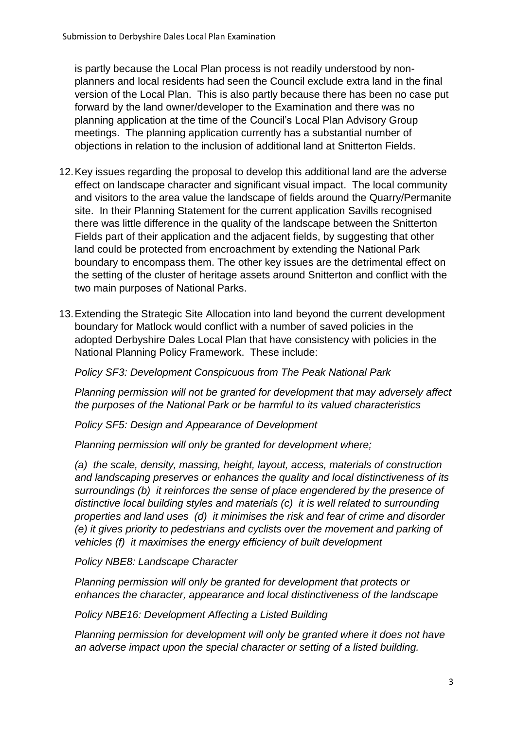is partly because the Local Plan process is not readily understood by nonplanners and local residents had seen the Council exclude extra land in the final version of the Local Plan. This is also partly because there has been no case put forward by the land owner/developer to the Examination and there was no planning application at the time of the Council's Local Plan Advisory Group meetings. The planning application currently has a substantial number of objections in relation to the inclusion of additional land at Snitterton Fields.

- 12.Key issues regarding the proposal to develop this additional land are the adverse effect on landscape character and significant visual impact. The local community and visitors to the area value the landscape of fields around the Quarry/Permanite site. In their Planning Statement for the current application Savills recognised there was little difference in the quality of the landscape between the Snitterton Fields part of their application and the adjacent fields, by suggesting that other land could be protected from encroachment by extending the National Park boundary to encompass them. The other key issues are the detrimental effect on the setting of the cluster of heritage assets around Snitterton and conflict with the two main purposes of National Parks.
- 13.Extending the Strategic Site Allocation into land beyond the current development boundary for Matlock would conflict with a number of saved policies in the adopted Derbyshire Dales Local Plan that have consistency with policies in the National Planning Policy Framework. These include:

*Policy SF3: Development Conspicuous from The Peak National Park*

*Planning permission will not be granted for development that may adversely affect the purposes of the National Park or be harmful to its valued characteristics*

*Policy SF5: Design and Appearance of Development* 

*Planning permission will only be granted for development where;* 

*(a) the scale, density, massing, height, layout, access, materials of construction and landscaping preserves or enhances the quality and local distinctiveness of its surroundings (b) it reinforces the sense of place engendered by the presence of distinctive local building styles and materials (c) it is well related to surrounding properties and land uses (d) it minimises the risk and fear of crime and disorder (e) it gives priority to pedestrians and cyclists over the movement and parking of vehicles (f) it maximises the energy efficiency of built development*

*Policy NBE8: Landscape Character* 

*Planning permission will only be granted for development that protects or enhances the character, appearance and local distinctiveness of the landscape*

*Policy NBE16: Development Affecting a Listed Building* 

*Planning permission for development will only be granted where it does not have an adverse impact upon the special character or setting of a listed building.*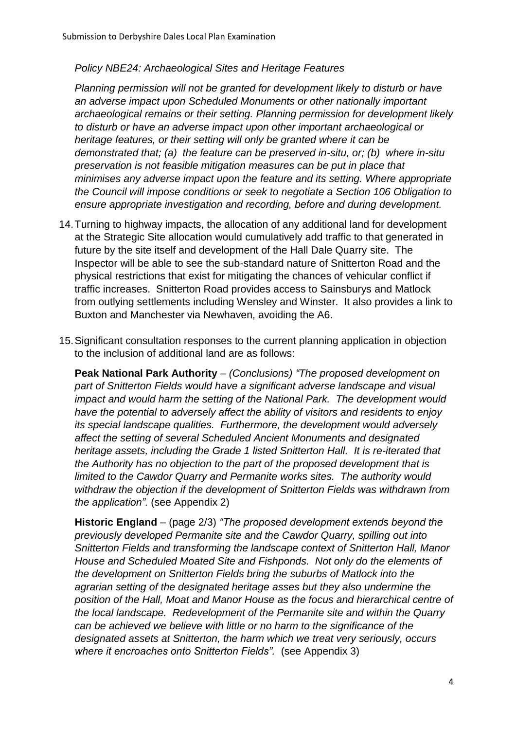## *Policy NBE24: Archaeological Sites and Heritage Features*

*Planning permission will not be granted for development likely to disturb or have an adverse impact upon Scheduled Monuments or other nationally important archaeological remains or their setting. Planning permission for development likely to disturb or have an adverse impact upon other important archaeological or heritage features, or their setting will only be granted where it can be demonstrated that; (a) the feature can be preserved in-situ, or; (b) where in-situ preservation is not feasible mitigation measures can be put in place that minimises any adverse impact upon the feature and its setting. Where appropriate the Council will impose conditions or seek to negotiate a Section 106 Obligation to ensure appropriate investigation and recording, before and during development.*

- 14.Turning to highway impacts, the allocation of any additional land for development at the Strategic Site allocation would cumulatively add traffic to that generated in future by the site itself and development of the Hall Dale Quarry site. The Inspector will be able to see the sub-standard nature of Snitterton Road and the physical restrictions that exist for mitigating the chances of vehicular conflict if traffic increases. Snitterton Road provides access to Sainsburys and Matlock from outlying settlements including Wensley and Winster. It also provides a link to Buxton and Manchester via Newhaven, avoiding the A6.
- 15.Significant consultation responses to the current planning application in objection to the inclusion of additional land are as follows:

**Peak National Park Authority** *– (Conclusions) "The proposed development on part of Snitterton Fields would have a significant adverse landscape and visual impact and would harm the setting of the National Park. The development would have the potential to adversely affect the ability of visitors and residents to enjoy its special landscape qualities. Furthermore, the development would adversely affect the setting of several Scheduled Ancient Monuments and designated heritage assets, including the Grade 1 listed Snitterton Hall. It is re-iterated that the Authority has no objection to the part of the proposed development that is limited to the Cawdor Quarry and Permanite works sites. The authority would withdraw the objection if the development of Snitterton Fields was withdrawn from the application".* (see Appendix 2)

**Historic England** – (page 2/3) *"The proposed development extends beyond the previously developed Permanite site and the Cawdor Quarry, spilling out into Snitterton Fields and transforming the landscape context of Snitterton Hall, Manor House and Scheduled Moated Site and Fishponds. Not only do the elements of the development on Snitterton Fields bring the suburbs of Matlock into the agrarian setting of the designated heritage asses but they also undermine the position of the Hall, Moat and Manor House as the focus and hierarchical centre of the local landscape. Redevelopment of the Permanite site and within the Quarry can be achieved we believe with little or no harm to the significance of the designated assets at Snitterton, the harm which we treat very seriously, occurs where it encroaches onto Snitterton Fields".* (see Appendix 3)